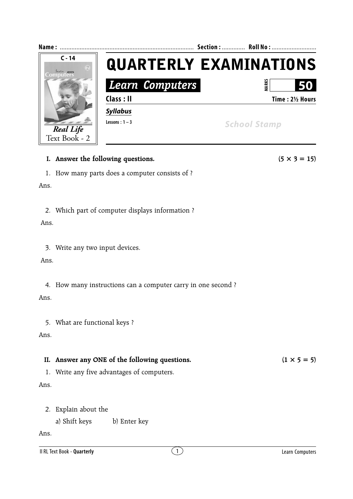

3. Write any two input devices.

Ans.

4. How many instructions can a computer carry in one second ?

Ans.

5. What are functional keys ?

Ans.

## **II.** Answer any ONE of the following questions.  $(1 \times 5 = 5)$

1. Write any five advantages of computers.

Ans.

- 2. Explain about the
	- a) Shift keys b) Enter key

Ans.